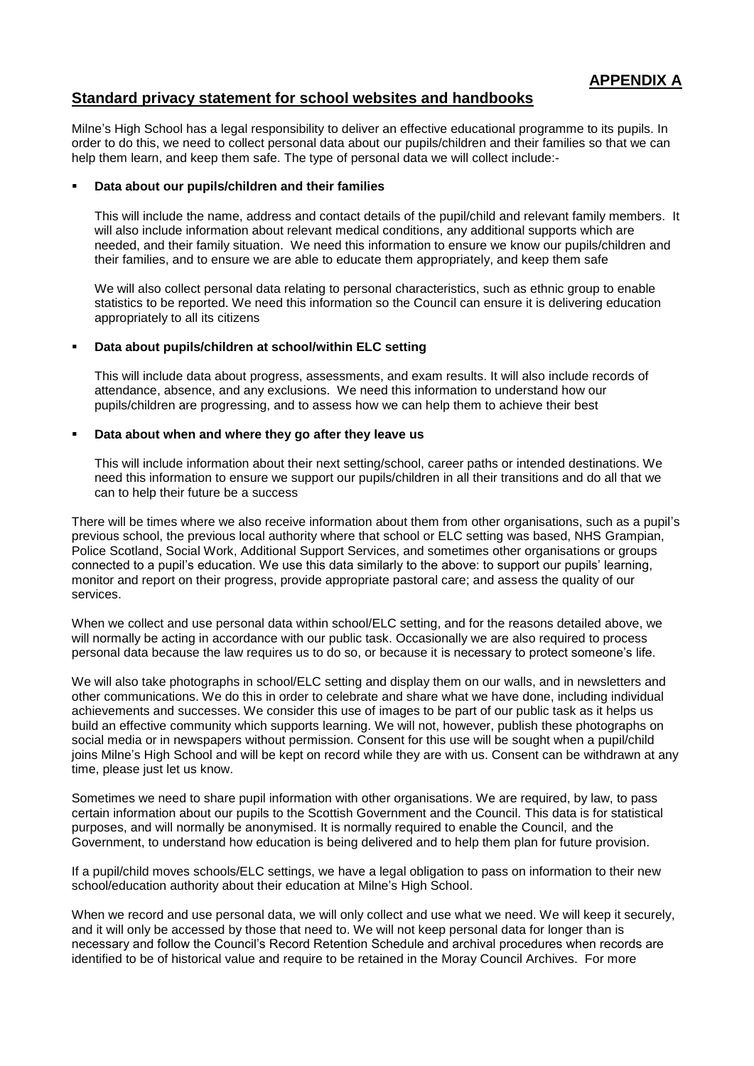# **Standard privacy statement for school websites and handbooks**

Milne's High School has a legal responsibility to deliver an effective educational programme to its pupils. In order to do this, we need to collect personal data about our pupils/children and their families so that we can help them learn, and keep them safe. The type of personal data we will collect include:-

## **Data about our pupils/children and their families**

This will include the name, address and contact details of the pupil/child and relevant family members. It will also include information about relevant medical conditions, any additional supports which are needed, and their family situation. We need this information to ensure we know our pupils/children and their families, and to ensure we are able to educate them appropriately, and keep them safe

We will also collect personal data relating to personal characteristics, such as ethnic group to enable statistics to be reported. We need this information so the Council can ensure it is delivering education appropriately to all its citizens

#### **Data about pupils/children at school/within ELC setting**

This will include data about progress, assessments, and exam results. It will also include records of attendance, absence, and any exclusions. We need this information to understand how our pupils/children are progressing, and to assess how we can help them to achieve their best

## **Data about when and where they go after they leave us**

This will include information about their next setting/school, career paths or intended destinations. We need this information to ensure we support our pupils/children in all their transitions and do all that we can to help their future be a success

There will be times where we also receive information about them from other organisations, such as a pupil's previous school, the previous local authority where that school or ELC setting was based, NHS Grampian, Police Scotland, Social Work, Additional Support Services, and sometimes other organisations or groups connected to a pupil's education. We use this data similarly to the above: to support our pupils' learning, monitor and report on their progress, provide appropriate pastoral care; and assess the quality of our services.

When we collect and use personal data within school/ELC setting, and for the reasons detailed above, we will normally be acting in accordance with our public task. Occasionally we are also required to process personal data because the law requires us to do so, or because it is necessary to protect someone's life.

We will also take photographs in school/ELC setting and display them on our walls, and in newsletters and other communications. We do this in order to celebrate and share what we have done, including individual achievements and successes. We consider this use of images to be part of our public task as it helps us build an effective community which supports learning. We will not, however, publish these photographs on social media or in newspapers without permission. Consent for this use will be sought when a pupil/child joins Milne's High School and will be kept on record while they are with us. Consent can be withdrawn at any time, please just let us know.

Sometimes we need to share pupil information with other organisations. We are required, by law, to pass certain information about our pupils to the Scottish Government and the Council. This data is for statistical purposes, and will normally be anonymised. It is normally required to enable the Council, and the Government, to understand how education is being delivered and to help them plan for future provision.

If a pupil/child moves schools/ELC settings, we have a legal obligation to pass on information to their new school/education authority about their education at Milne's High School.

When we record and use personal data, we will only collect and use what we need. We will keep it securely, and it will only be accessed by those that need to. We will not keep personal data for longer than is necessary and follow the Council's Record Retention Schedule and archival procedures when records are identified to be of historical value and require to be retained in the Moray Council Archives. For more